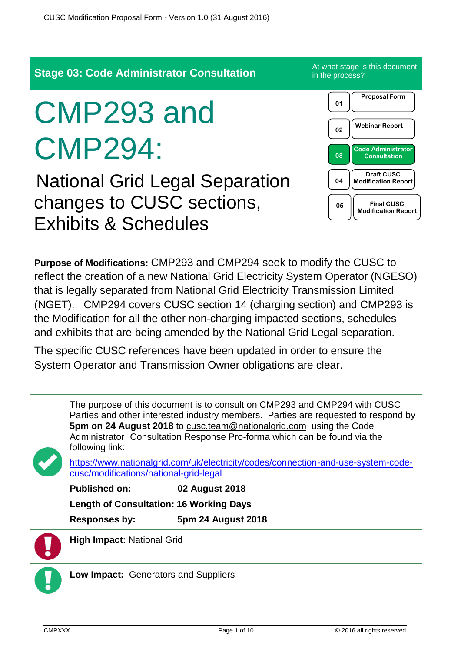**Stage 03: Code Administrator Consultation** At what stage is this document in the process? CMP293 and CMP294: National Grid Legal Separation changes to CUSC sections, Exhibits & Schedules **Purpose of Modifications:** CMP293 and CMP294 seek to modify the CUSC to reflect the creation of a new National Grid Electricity System Operator (NGESO) that is legally separated from National Grid Electricity Transmission Limited (NGET). CMP294 covers CUSC section 14 (charging section) and CMP293 is the Modification for all the other non-charging impacted sections, schedules and exhibits that are being amended by the National Grid Legal separation. The specific CUSC references have been updated in order to ensure the System Operator and Transmission Owner obligations are clear. The purpose of this document is to consult on CMP293 and CMP294 with CUSC Parties and other interested industry members. Parties are requested to respond by **5pm on 24 August 2018** to [cusc.team@nationalgrid.com](mailto:cusc.team@nationalgrid.com) using the Code Administrator Consultation Response Pro-forma which can be found via the following link: [https://www.nationalgrid.com/uk/electricity/codes/connection-and-use-system-code](https://www.nationalgrid.com/uk/electricity/codes/connection-and-use-system-code-cusc/modifications/national-grid-legal)[cusc/modifications/national-grid-legal](https://www.nationalgrid.com/uk/electricity/codes/connection-and-use-system-code-cusc/modifications/national-grid-legal) **Published on: 02 August 2018 Length of Consultation: 16 Working Days Responses by: 5pm 24 August 2018 High Impact:** National Grid **Low Impact:** Generators and Suppliers **01 Proposal Form 02 Webinar Report 03 Code Administrator Consultation 05 Final CUSC Modification Report 04 Draft CUSC Modification Report**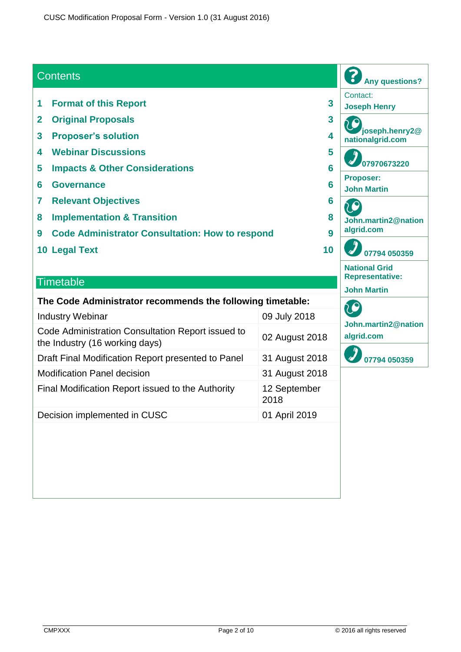#### **Contents**

- **1 Format of this Report 3**
- **2 Original Proposals 3**
- **3 Proposer's solution 4**
- **4 Webinar Discussions 5**
- **5 Impacts & Other Considerations 6**
- **6 Governance 6**
- **7 Relevant Objectives 6**
- **8 Implementation & Transition 8**
- **9 Code Administrator Consultation: How to respond 9**
- **10 Legal Text 10**

#### **Timetable**

| The Code Administrator recommends the following timetable:                          |                      |  |  |  |
|-------------------------------------------------------------------------------------|----------------------|--|--|--|
| <b>Industry Webinar</b>                                                             | 09 July 2018         |  |  |  |
| Code Administration Consultation Report issued to<br>the Industry (16 working days) | 02 August 2018       |  |  |  |
| Draft Final Modification Report presented to Panel                                  | 31 August 2018       |  |  |  |
| <b>Modification Panel decision</b>                                                  | 31 August 2018       |  |  |  |
| Final Modification Report issued to the Authority                                   | 12 September<br>2018 |  |  |  |
| Decision implemented in CUSC                                                        | 01 April 2019        |  |  |  |

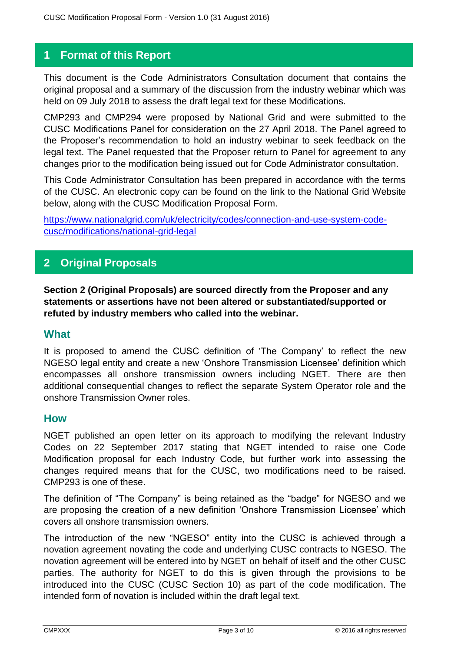## **1 Format of this Report**

This document is the Code Administrators Consultation document that contains the original proposal and a summary of the discussion from the industry webinar which was held on 09 July 2018 to assess the draft legal text for these Modifications.

CMP293 and CMP294 were proposed by National Grid and were submitted to the CUSC Modifications Panel for consideration on the 27 April 2018. The Panel agreed to the Proposer's recommendation to hold an industry webinar to seek feedback on the legal text. The Panel requested that the Proposer return to Panel for agreement to any changes prior to the modification being issued out for Code Administrator consultation.

This Code Administrator Consultation has been prepared in accordance with the terms of the CUSC. An electronic copy can be found on the link to the National Grid Website below, along with the CUSC Modification Proposal Form.

[https://www.nationalgrid.com/uk/electricity/codes/connection-and-use-system-code](https://www.nationalgrid.com/uk/electricity/codes/connection-and-use-system-code-cusc/modifications/national-grid-legal)[cusc/modifications/national-grid-legal](https://www.nationalgrid.com/uk/electricity/codes/connection-and-use-system-code-cusc/modifications/national-grid-legal)

## **2 Original Proposals**

**Section 2 (Original Proposals) are sourced directly from the Proposer and any statements or assertions have not been altered or substantiated/supported or refuted by industry members who called into the webinar.**

#### **What**

It is proposed to amend the CUSC definition of 'The Company' to reflect the new NGESO legal entity and create a new 'Onshore Transmission Licensee' definition which encompasses all onshore transmission owners including NGET. There are then additional consequential changes to reflect the separate System Operator role and the onshore Transmission Owner roles.

#### **How**

NGET published an open letter on its approach to modifying the relevant Industry Codes on 22 September 2017 stating that NGET intended to raise one Code Modification proposal for each Industry Code, but further work into assessing the changes required means that for the CUSC, two modifications need to be raised. CMP293 is one of these.

The definition of "The Company" is being retained as the "badge" for NGESO and we are proposing the creation of a new definition 'Onshore Transmission Licensee' which covers all onshore transmission owners.

The introduction of the new "NGESO" entity into the CUSC is achieved through a novation agreement novating the code and underlying CUSC contracts to NGESO. The novation agreement will be entered into by NGET on behalf of itself and the other CUSC parties. The authority for NGET to do this is given through the provisions to be introduced into the CUSC (CUSC Section 10) as part of the code modification. The intended form of novation is included within the draft legal text.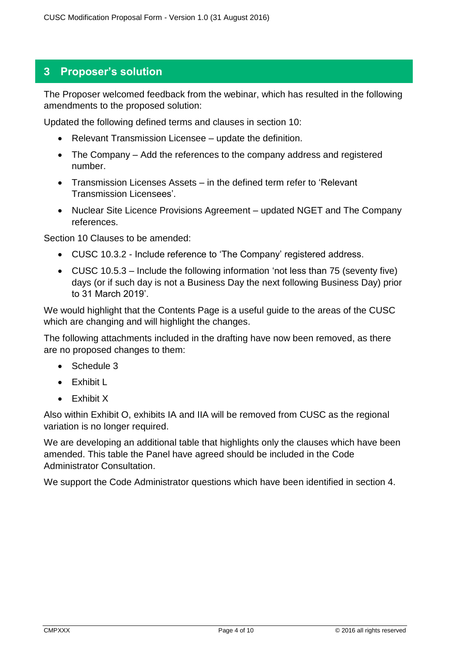## **3 Proposer's solution**

The Proposer welcomed feedback from the webinar, which has resulted in the following amendments to the proposed solution:

Updated the following defined terms and clauses in section 10:

- Relevant Transmission Licensee update the definition.
- The Company Add the references to the company address and registered number.
- Transmission Licenses Assets in the defined term refer to 'Relevant Transmission Licensees'.
- Nuclear Site Licence Provisions Agreement updated NGET and The Company references.

Section 10 Clauses to be amended:

- CUSC 10.3.2 Include reference to 'The Company' registered address.
- CUSC 10.5.3 Include the following information 'not less than 75 (seventy five) days (or if such day is not a Business Day the next following Business Day) prior to 31 March 2019'.

We would highlight that the Contents Page is a useful guide to the areas of the CUSC which are changing and will highlight the changes.

The following attachments included in the drafting have now been removed, as there are no proposed changes to them:

- Schedule 3
- Exhibit L
- Exhibit X

Also within Exhibit O, exhibits IA and IIA will be removed from CUSC as the regional variation is no longer required.

We are developing an additional table that highlights only the clauses which have been amended. This table the Panel have agreed should be included in the Code Administrator Consultation.

We support the Code Administrator questions which have been identified in section 4.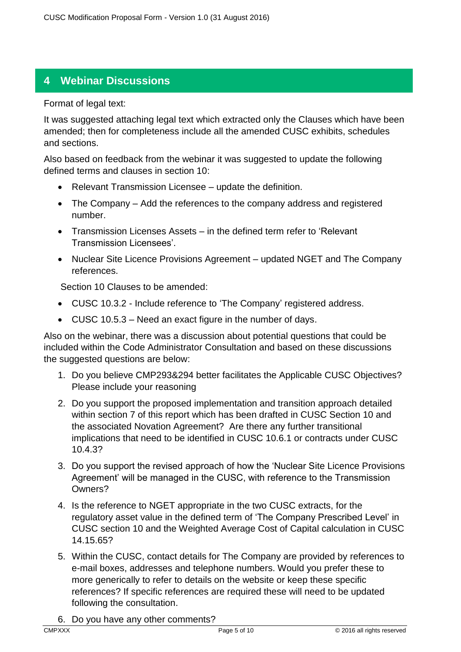# **4 Webinar Discussions**

Format of legal text:

It was suggested attaching legal text which extracted only the Clauses which have been amended; then for completeness include all the amended CUSC exhibits, schedules and sections.

Also based on feedback from the webinar it was suggested to update the following defined terms and clauses in section 10:

- Relevant Transmission Licensee update the definition.
- The Company Add the references to the company address and registered number.
- Transmission Licenses Assets in the defined term refer to 'Relevant Transmission Licensees'.
- Nuclear Site Licence Provisions Agreement updated NGET and The Company references.

Section 10 Clauses to be amended:

- CUSC 10.3.2 Include reference to 'The Company' registered address.
- CUSC 10.5.3 Need an exact figure in the number of days.

Also on the webinar, there was a discussion about potential questions that could be included within the Code Administrator Consultation and based on these discussions the suggested questions are below:

- 1. Do you believe CMP293&294 better facilitates the Applicable CUSC Objectives? Please include your reasoning
- 2. Do you support the proposed implementation and transition approach detailed within section 7 of this report which has been drafted in CUSC Section 10 and the associated Novation Agreement? Are there any further transitional implications that need to be identified in CUSC 10.6.1 or contracts under CUSC 10.4.3?
- 3. Do you support the revised approach of how the 'Nuclear Site Licence Provisions Agreement' will be managed in the CUSC, with reference to the Transmission Owners?
- 4. Is the reference to NGET appropriate in the two CUSC extracts, for the regulatory asset value in the defined term of 'The Company Prescribed Level' in CUSC section 10 and the Weighted Average Cost of Capital calculation in CUSC 14.15.65?
- 5. Within the CUSC, contact details for The Company are provided by references to e-mail boxes, addresses and telephone numbers. Would you prefer these to more generically to refer to details on the website or keep these specific references? If specific references are required these will need to be updated following the consultation.
- 6. Do you have any other comments?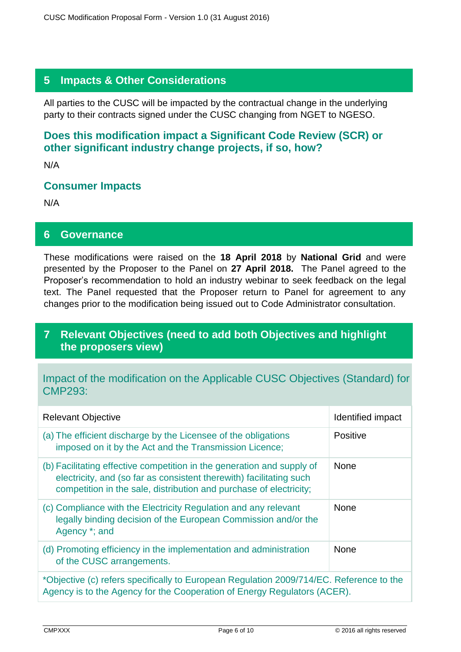## **5 Impacts & Other Considerations**

All parties to the CUSC will be impacted by the contractual change in the underlying party to their contracts signed under the CUSC changing from NGET to NGESO.

## **Does this modification impact a Significant Code Review (SCR) or other significant industry change projects, if so, how?**

N/A

#### **Consumer Impacts**

N/A

#### **6 Governance**

These modifications were raised on the **18 April 2018** by **National Grid** and were presented by the Proposer to the Panel on **27 April 2018.** The Panel agreed to the Proposer's recommendation to hold an industry webinar to seek feedback on the legal text. The Panel requested that the Proposer return to Panel for agreement to any changes prior to the modification being issued out to Code Administrator consultation.

### **7 Relevant Objectives (need to add both Objectives and highlight the proposers view)**

#### Impact of the modification on the Applicable CUSC Objectives (Standard) for CMP293:

| <b>Relevant Objective</b>                                                                                                                                                                                           | Identified impact |  |
|---------------------------------------------------------------------------------------------------------------------------------------------------------------------------------------------------------------------|-------------------|--|
| (a) The efficient discharge by the Licensee of the obligations<br>imposed on it by the Act and the Transmission Licence;                                                                                            | <b>Positive</b>   |  |
| (b) Facilitating effective competition in the generation and supply of<br>electricity, and (so far as consistent therewith) facilitating such<br>competition in the sale, distribution and purchase of electricity; | <b>None</b>       |  |
| (c) Compliance with the Electricity Regulation and any relevant<br>legally binding decision of the European Commission and/or the<br>Agency *; and                                                                  | <b>None</b>       |  |
| (d) Promoting efficiency in the implementation and administration<br>of the CUSC arrangements.                                                                                                                      | <b>None</b>       |  |
| *Objective (c) refers specifically to European Regulation 2009/714/EC. Reference to the<br>Agency is to the Agency for the Cooperation of Energy Regulators (ACER).                                                 |                   |  |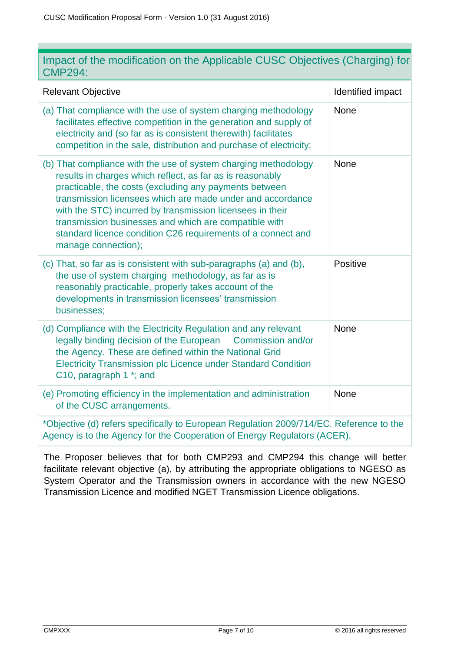| Impact of the modification on the Applicable CUSC Objectives (Charging) for |  |  |  |
|-----------------------------------------------------------------------------|--|--|--|
| <b>CMP294:</b>                                                              |  |  |  |

| <b>Relevant Objective</b>                                                                                                                                                                                                                                                                                                                                                                                                                                         | Identified impact |  |  |  |
|-------------------------------------------------------------------------------------------------------------------------------------------------------------------------------------------------------------------------------------------------------------------------------------------------------------------------------------------------------------------------------------------------------------------------------------------------------------------|-------------------|--|--|--|
| (a) That compliance with the use of system charging methodology<br>facilitates effective competition in the generation and supply of<br>electricity and (so far as is consistent therewith) facilitates<br>competition in the sale, distribution and purchase of electricity;                                                                                                                                                                                     | None              |  |  |  |
| (b) That compliance with the use of system charging methodology<br>results in charges which reflect, as far as is reasonably<br>practicable, the costs (excluding any payments between<br>transmission licensees which are made under and accordance<br>with the STC) incurred by transmission licensees in their<br>transmission businesses and which are compatible with<br>standard licence condition C26 requirements of a connect and<br>manage connection); | None              |  |  |  |
| (c) That, so far as is consistent with sub-paragraphs (a) and (b),<br>the use of system charging methodology, as far as is<br>reasonably practicable, properly takes account of the<br>developments in transmission licensees' transmission<br>businesses;                                                                                                                                                                                                        | Positive          |  |  |  |
| (d) Compliance with the Electricity Regulation and any relevant<br>legally binding decision of the European<br>Commission and/or<br>the Agency. These are defined within the National Grid<br><b>Electricity Transmission plc Licence under Standard Condition</b><br>C10, paragraph 1 *; and                                                                                                                                                                     | None              |  |  |  |
| (e) Promoting efficiency in the implementation and administration<br>of the CUSC arrangements.                                                                                                                                                                                                                                                                                                                                                                    | None              |  |  |  |
| *Objective (d) refers specifically to European Regulation 2009/714/EC. Reference to the<br>Agency is to the Agency for the Cooperation of Energy Regulators (ACER).                                                                                                                                                                                                                                                                                               |                   |  |  |  |

The Proposer believes that for both CMP293 and CMP294 this change will better facilitate relevant objective (a), by attributing the appropriate obligations to NGESO as System Operator and the Transmission owners in accordance with the new NGESO Transmission Licence and modified NGET Transmission Licence obligations.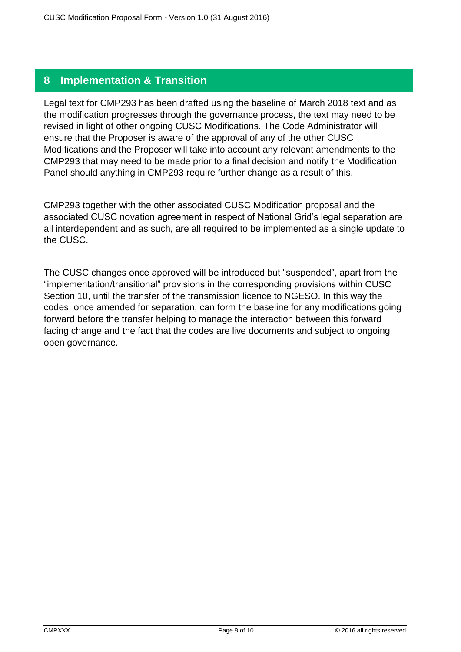## **8 Implementation & Transition**

Legal text for CMP293 has been drafted using the baseline of March 2018 text and as the modification progresses through the governance process, the text may need to be revised in light of other ongoing CUSC Modifications. The Code Administrator will ensure that the Proposer is aware of the approval of any of the other CUSC Modifications and the Proposer will take into account any relevant amendments to the CMP293 that may need to be made prior to a final decision and notify the Modification Panel should anything in CMP293 require further change as a result of this.

CMP293 together with the other associated CUSC Modification proposal and the associated CUSC novation agreement in respect of National Grid's legal separation are all interdependent and as such, are all required to be implemented as a single update to the CUSC.

The CUSC changes once approved will be introduced but "suspended", apart from the "implementation/transitional" provisions in the corresponding provisions within CUSC Section 10, until the transfer of the transmission licence to NGESO. In this way the codes, once amended for separation, can form the baseline for any modifications going forward before the transfer helping to manage the interaction between this forward facing change and the fact that the codes are live documents and subject to ongoing open governance.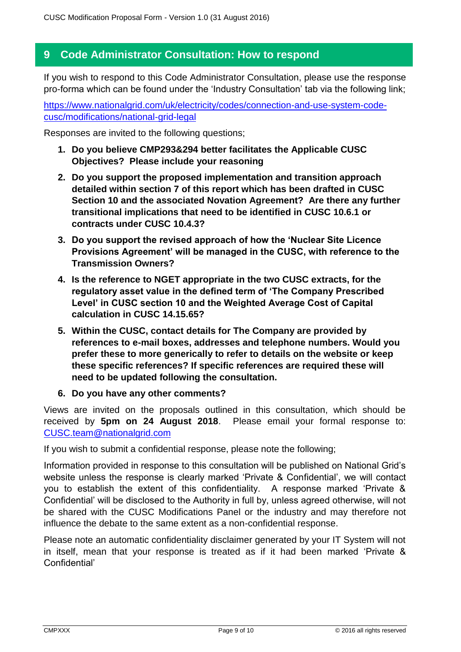#### **9 Code Administrator Consultation: How to respond**

If you wish to respond to this Code Administrator Consultation, please use the response pro-forma which can be found under the 'Industry Consultation' tab via the following link;

[https://www.nationalgrid.com/uk/electricity/codes/connection-and-use-system-code](https://www.nationalgrid.com/uk/electricity/codes/connection-and-use-system-code-cusc/modifications/national-grid-legal)[cusc/modifications/national-grid-legal](https://www.nationalgrid.com/uk/electricity/codes/connection-and-use-system-code-cusc/modifications/national-grid-legal)

Responses are invited to the following questions;

- **1. Do you believe CMP293&294 better facilitates the Applicable CUSC Objectives? Please include your reasoning**
- **2. Do you support the proposed implementation and transition approach detailed within section 7 of this report which has been drafted in CUSC Section 10 and the associated Novation Agreement? Are there any further transitional implications that need to be identified in CUSC 10.6.1 or contracts under CUSC 10.4.3?**
- **3. Do you support the revised approach of how the 'Nuclear Site Licence Provisions Agreement' will be managed in the CUSC, with reference to the Transmission Owners?**
- **4. Is the reference to NGET appropriate in the two CUSC extracts, for the regulatory asset value in the defined term of 'The Company Prescribed Level' in CUSC section 10 and the Weighted Average Cost of Capital calculation in CUSC 14.15.65?**
- **5. Within the CUSC, contact details for The Company are provided by references to e-mail boxes, addresses and telephone numbers. Would you prefer these to more generically to refer to details on the website or keep these specific references? If specific references are required these will need to be updated following the consultation.**
- **6. Do you have any other comments?**

Views are invited on the proposals outlined in this consultation, which should be received by **5pm on 24 August 2018**. Please email your formal response to: [CUSC.team@nationalgrid.com](mailto:CUSC.team@nationalgrid.com)

If you wish to submit a confidential response, please note the following;

Information provided in response to this consultation will be published on National Grid's website unless the response is clearly marked 'Private & Confidential', we will contact you to establish the extent of this confidentiality. A response marked 'Private & Confidential' will be disclosed to the Authority in full by, unless agreed otherwise, will not be shared with the CUSC Modifications Panel or the industry and may therefore not influence the debate to the same extent as a non-confidential response.

Please note an automatic confidentiality disclaimer generated by your IT System will not in itself, mean that your response is treated as if it had been marked 'Private & Confidential'